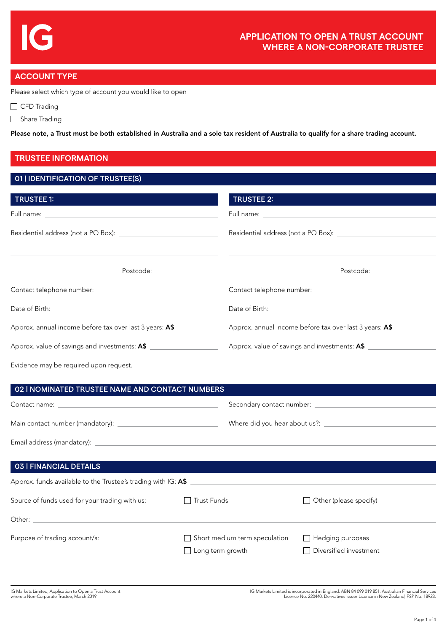# **ACCOUNT TYPE**

Please select which type of account you would like to open

CFD Trading

Share Trading

Please note, a Trust must be both established in Australia and a sole tax resident of Australia to qualify for a share trading account.

# **TRUSTEE INFORMATION**

## 01 | IDENTIFICATION OF TRUSTEE(S)

| <b>TRUSTEE 2:</b>                                       |
|---------------------------------------------------------|
|                                                         |
|                                                         |
|                                                         |
|                                                         |
| Date of Birth: <u>Alexander State of Birth:</u> 2004    |
| Approx. annual income before tax over last 3 years: A\$ |
| Approx. value of savings and investments: A\$           |
|                                                         |

Evidence may be required upon request.

| 02   NOMINATED TRUSTEE NAME AND CONTACT NUMBERS               |                                                   |                                                                   |  |  |
|---------------------------------------------------------------|---------------------------------------------------|-------------------------------------------------------------------|--|--|
|                                                               |                                                   | Secondary contact number: <u>containing the secondary contact</u> |  |  |
|                                                               |                                                   |                                                                   |  |  |
|                                                               |                                                   |                                                                   |  |  |
|                                                               |                                                   |                                                                   |  |  |
| <b>03   FINANCIAL DETAILS</b>                                 |                                                   |                                                                   |  |  |
| Approx. funds available to the Trustee's trading with IG: A\$ |                                                   |                                                                   |  |  |
| Source of funds used for your trading with us:                | <b>Trust Funds</b>                                | Other (please specify)                                            |  |  |
|                                                               |                                                   |                                                                   |  |  |
| Purpose of trading account/s:                                 | Short medium term speculation<br>Long term growth | Hedging purposes<br>Diversified investment                        |  |  |

IG Markets Limited is incorporated in England. ABN 84 099 019 851. Australian Financial Services Licence No. 220440. Derivatives Issuer Licence in New Zealand, FSP No. 18923.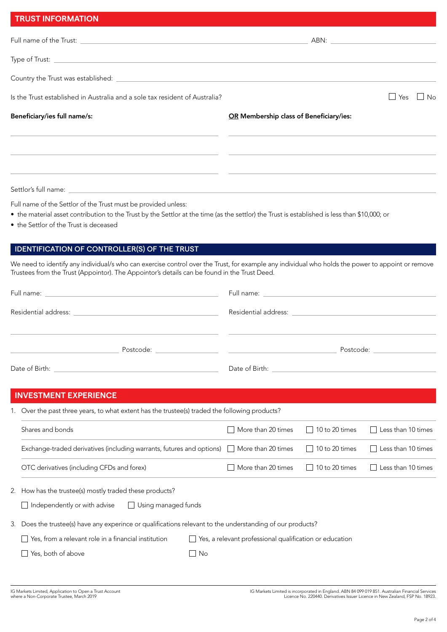| <b>TRUST INFORMATION</b>                                                                                                  |                                         |                    |
|---------------------------------------------------------------------------------------------------------------------------|-----------------------------------------|--------------------|
|                                                                                                                           | ABN: __________________                 |                    |
|                                                                                                                           |                                         |                    |
| Country the Trust was established: <u>the contract of the contract of the contract of the contract of the contract of</u> |                                         |                    |
| Is the Trust established in Australia and a sole tax resident of Australia?                                               |                                         | $\Box$ No<br>⊿ Yes |
| Beneficiary/ies full name/s:                                                                                              | OR Membership class of Beneficiary/ies: |                    |
|                                                                                                                           |                                         |                    |
|                                                                                                                           |                                         |                    |
|                                                                                                                           |                                         |                    |

Settlor's full name:

Full name of the Settlor of the Trust must be provided unless:

- the material asset contribution to the Trust by the Settlor at the time (as the settlor) the Trust is established is less than \$10,000; or
- the Settlor of the Trust is deceased

## IDENTIFICATION OF CONTROLLER(S) OF THE TRUST

We need to identify any individual/s who can exercise control over the Trust, for example any individual who holds the power to appoint or remove Trustees from the Trust (Appointor). The Appointor's details can be found in the Trust Deed.

| Postcode: www. |
|----------------|
|                |
|                |

# **INVESTMENT EXPERIENCE**

1. Over the past three years, to what extent has the trustee(s) traded the following products?

| Shares and bonds                                                                                                      | More than 20 times 10 to 20 times | $\Box$ Less than 10 times |
|-----------------------------------------------------------------------------------------------------------------------|-----------------------------------|---------------------------|
| Exchange-traded derivatives (including warrants, futures and options) $\Box$ More than 20 times $\Box$ 10 to 20 times |                                   | $\Box$ Less than 10 times |
| OTC derivatives (including CFDs and forex)                                                                            | More than 20 times 10 to 20 times | $\Box$ Less than 10 times |

2. How has the trustee(s) mostly traded these products?

 $\Box$  Independently or with advise  $\Box$  Using managed funds

3. Does the trustee(s) have any experince or qualifications relevant to the understanding of our products?

| $\Box$ Yes, from a relevant role in a financial institution | $\Box$ Yes, a relevant p |  |
|-------------------------------------------------------------|--------------------------|--|
|-------------------------------------------------------------|--------------------------|--|

No Yes, both of above No

rofessional qualification or education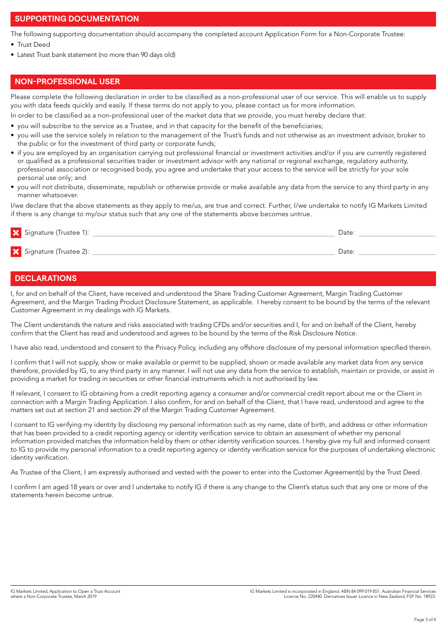## **SUPPORTING DOCUMENTATION**

The following supporting documentation should accompany the completed account Application Form for a Non-Corporate Trustee:

- Trust Deed
- Latest Trust bank statement (no more than 90 days old)

# **NON-PROFESSIONAL USER**

Please complete the following declaration in order to be classified as a non-professional user of our service. This will enable us to supply you with data feeds quickly and easily. If these terms do not apply to you, please contact us for more information.

In order to be classified as a non-professional user of the market data that we provide, you must hereby declare that:

- you will subscribe to the service as a Trustee, and in that capacity for the benefit of the beneficiaries;
- you will use the service solely in relation to the management of the Trust's funds and not otherwise as an investment advisor, broker to the public or for the investment of third party or corporate funds;
- if you are employed by an organisation carrying out professional financial or investment activities and/or if you are currently registered or qualified as a professional securities trader or investment advisor with any national or regional exchange, regulatory authority, professional association or recognised body, you agree and undertake that your access to the service will be strictly for your sole personal use only; and
- you will not distribute, disseminate, republish or otherwise provide or make available any data from the service to any third party in any manner whatsoever.

I/we declare that the above statements as they apply to me/us, are true and correct. Further, I/we undertake to notify IG Markets Limited if there is any change to my/our status such that any one of the statements above becomes untrue.

| Signature (Trustee 1): | Date: |  |
|------------------------|-------|--|
| Signature (Trustee 2): | Date: |  |

### **DECLARATIONS**

I, for and on behalf of the Client, have received and understood the Share Trading Customer Agreement, Margin Trading Customer Agreement, and the Margin Trading Product Disclosure Statement, as applicable. I hereby consent to be bound by the terms of the relevant Customer Agreement in my dealings with IG Markets.

The Client understands the nature and risks associated with trading CFDs and/or securities and I, for and on behalf of the Client, hereby confirm that the Client has read and understood and agrees to be bound by the terms of the Risk Disclosure Notice.

I have also read, understood and consent to the Privacy Policy, including any offshore disclosure of my personal information specified therein.

I confirm that I will not supply, show or make available or permit to be supplied, shown or made available any market data from any service therefore, provided by IG, to any third party in any manner. I will not use any data from the service to establish, maintain or provide, or assist in providing a market for trading in securities or other financial instruments which is not authorised by law.

If relevant, I consent to IG obtaining from a credit reporting agency a consumer and/or commercial credit report about me or the Client in connection with a Margin Trading Application. I also confirm, for and on behalf of the Client, that I have read, understood and agree to the matters set out at section 21 and section 29 of the Margin Trading Customer Agreement.

I consent to IG verifying my identity by disclosing my personal information such as my name, date of birth, and address or other information that has been provided to a credit reporting agency or identity verification service to obtain an assessment of whether my personal information provided matches the information held by them or other identity verification sources. I hereby give my full and informed consent to IG to provide my personal information to a credit reporting agency or identity verification service for the purposes of undertaking electronic identity verification.

As Trustee of the Client, I am expressly authorised and vested with the power to enter into the Customer Agreement(s) by the Trust Deed.

I confirm I am aged 18 years or over and I undertake to notify IG if there is any change to the Client's status such that any one or more of the statements herein become untrue.